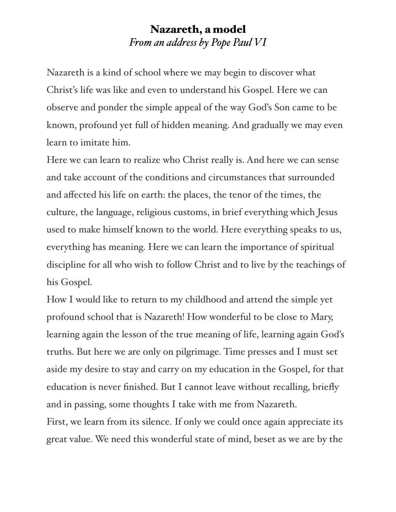## Nazareth, a model *From an address by Pope Paul VI*

Nazareth is a kind of school where we may begin to discover what Christ's life was like and even to understand his Gospel. Here we can observe and ponder the simple appeal of the way God's Son came to be known, profound yet full of hidden meaning. And gradually we may even learn to imitate him.

Here we can learn to realize who Christ really is. And here we can sense and take account of the conditions and circumstances that surrounded and affected his life on earth: the places, the tenor of the times, the culture, the language, religious customs, in brief everything which Jesus used to make himself known to the world. Here everything speaks to us, everything has meaning. Here we can learn the importance of spiritual discipline for all who wish to follow Christ and to live by the teachings of his Gospel.

How I would like to return to my childhood and attend the simple yet profound school that is Nazareth! How wonderful to be close to Mary, learning again the lesson of the true meaning of life, learning again God's truths. But here we are only on pilgrimage. Time presses and I must set aside my desire to stay and carry on my education in the Gospel, for that education is never finished. But I cannot leave without recalling, briefly and in passing, some thoughts I take with me from Nazareth. First, we learn from its silence. If only we could once again appreciate its great value. We need this wonderful state of mind, beset as we are by the